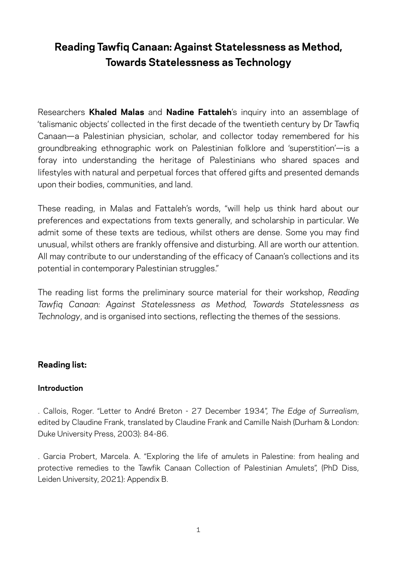# **Reading Tawfiq Canaan: Against Statelessness as Method, Towards Statelessness as Technology**

Researchers **Khaled Malas** and **Nadine Fattaleh**'s inquiry into an assemblage of 'talismanic objects' collected in the first decade of the twentieth century by Dr Tawfiq Canaan—a Palestinian physician, scholar, and collector today remembered for his groundbreaking ethnographic work on Palestinian folklore and 'superstition'—is a foray into understanding the heritage of Palestinians who shared spaces and lifestyles with natural and perpetual forces that offered gifts and presented demands upon their bodies, communities, and land.

These reading, in Malas and Fattaleh's words, "will help us think hard about our preferences and expectations from texts generally, and scholarship in particular. We admit some of these texts are tedious, whilst others are dense. Some you may find unusual, whilst others are frankly offensive and disturbing. All are worth our attention. All may contribute to our understanding of the efficacy of Canaan's collections and its potential in contemporary Palestinian struggles."

The reading list forms the preliminary source material for their workshop, *Reading Tawfiq Canaan: Against Statelessness as Method, Towards Statelessness as Technology*, and is organised into sections, reflecting the themes of the sessions.

## **Reading list:**

#### **Introduction**

. Callois, Roger. "Letter to André Breton - 27 December 1934", *The Edge of Surrealism*, edited by Claudine Frank, translated by Claudine Frank and Camille Naish (Durham & London: Duke University Press, 2003): 84-86.

. Garcia Probert, Marcela. A. "Exploring the life of amulets in Palestine: from healing and protective remedies to the Tawfik Canaan Collection of Palestinian Amulets", (PhD Diss, Leiden University, 2021): Appendix B.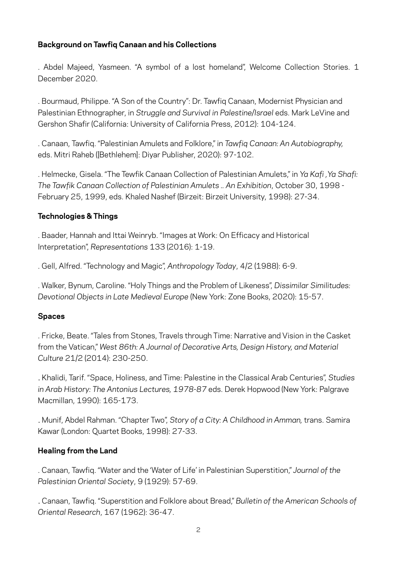### **Background on Tawfiq Canaan and his Collections**

. Abdel Majeed, Yasmeen. "A symbol of a lost homeland", Welcome Collection Stories. 1 December 2020.

. Bourmaud, Philippe. "A Son of the Country": Dr. Tawfiq Canaan, Modernist Physician and Palestinian Ethnographer, in *Struggle and Survival in Palestine/Israel* eds. Mark LeVine and Gershon Shafir (California: University of California Press, 2012): 104-124.

. Canaan, Tawfiq. "Palestinian Amulets and Folklore," in *Tawfiq Canaan: An Autobiography,*  eds. Mitri Raheb ([Bethlehem]: Diyar Publisher, 2020): 97-102.

. Helmecke, Gisela. "The Tewfik Canaan Collection of Palestinian Amulets," in *Ya Kafi ,Ya Shafi: The Tawfik Canaan Collection of Palestinian Amulets .. An Exhibition*, October 30, 1998 - February 25, 1999, eds. Khaled Nashef (Birzeit: Birzeit University, 1998): 27-34.

#### **Technologies & Things**

. Baader, Hannah and Ittai Weinryb. "Images at Work: On Efficacy and Historical Interpretation", *Representations* 133 (2016): 1-19.

. Gell, Alfred. "Technology and Magic", *Anthropology Today*, 4/2 (1988): 6-9.

. Walker, Bynum, Caroline. "Holy Things and the Problem of Likeness", *Dissimilar Similitudes: Devotional Objects in Late Medieval Europe* (New York: Zone Books, 2020): 15-57.

#### **Spaces**

. Fricke, Beate. "Tales from Stones, Travels through Time: Narrative and Vision in the Casket from the Vatican," *West 86th: A Journal of Decorative Arts, Design History, and Material Culture* 21/2 (2014): 230-250.

. Khalidi, Tarif. "Space, Holiness, and Time: Palestine in the Classical Arab Centuries", *Studies in Arab History: The Antonius Lectures, 1978-87* eds. Derek Hopwood (New York: Palgrave Macmillan, 1990): 165-173.

. Munif, Abdel Rahman. "Chapter Two", *Story of a City: A Childhood in Amman,* trans. Samira Kawar (London: Quartet Books, 1998): 27-33.

#### **Healing from the Land**

. Canaan, Tawfiq. "Water and the 'Water of Life' in Palestinian Superstition," *Journal of the Palestinian Oriental Society*, 9 (1929): 57-69.

. Canaan, Tawfiq. "Superstition and Folklore about Bread," *Bulletin of the American Schools of Oriental Research*, 167 (1962): 36-47.